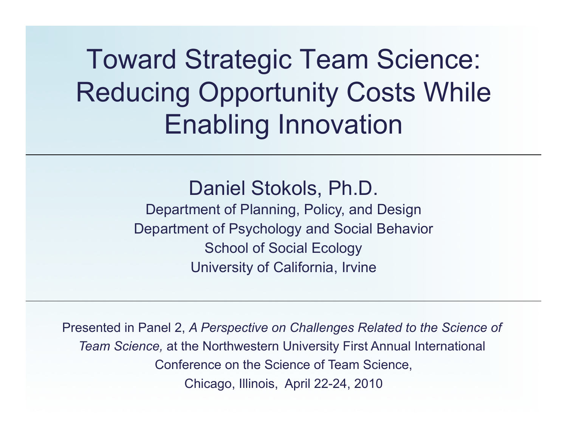# Toward Strategic Team Science: Reducing Opportunity Costs While Enabling Innovation

### Daniel Stokols, Ph.D.

Department of Planning, Policy, and Design Department of Psychology and Social Behavior School of Social Ecology University of California, Irvine

Presented in Panel 2, *A Perspective on Challenges Related to the Science of Team Science,* at the Northwestern University First Annual International Conference on the Science of Team Science, Chicago, Illinois, April 22-24, 2010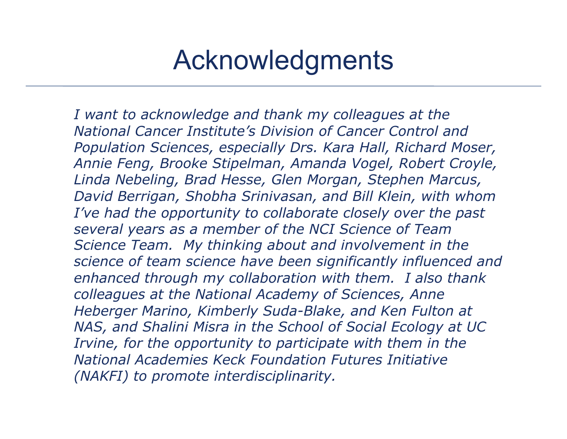## Acknowledgments

*I want to acknowledge and thank my colleagues at the National Cancer Institute's Division of Cancer Control and Population Sciences, especially Drs. Kara Hall, Richard Moser, Annie Feng, Brooke Stipelman, Amanda Vogel, Robert Croyle, Linda Nebeling, Brad Hesse, Glen Morgan, Stephen Marcus, David Berrigan, Shobha Srinivasan, and Bill Klein, with whom I've had the opportunity to collaborate closely over the past several years as a member of the NCI Science of Team Science Team. My thinking about and involvement in the science of team science have been significantly influenced and enhanced through my collaboration with them. I also thank colleagues at the National Academy of Sciences, Anne Heberger Marino, Kimberly Suda-Blake, and Ken Fulton at NAS, and Shalini Misra in the School of Social Ecology at UC Irvine, for the opportunity to participate with them in the National Academies Keck Foundation Futures Initiative (NAKFI) to promote interdisciplinarity.*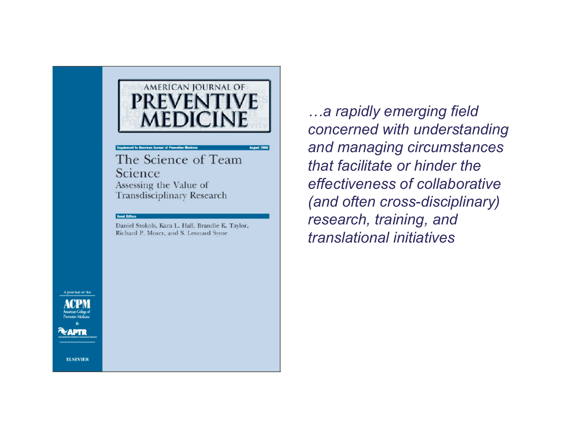#### AMERICAN JOURNAL OF **PREVENT MEDICINE**

#### pplement to American Jormal of Proventive M

The Science of Team Science Assessing the Value of Transdisciplinary Research

#### **Goest Editors**

Daniel Stokols, Kara L. Hall, Brandie K. Taylor, Richard P. Moser, and S. Leonard Syme

*…a rapidly emerging field concerned with understanding and managing circumstances that facilitate or hinder the effectiveness of collaborative (and often cross-disciplinary) research, training, and translational initiatives* 

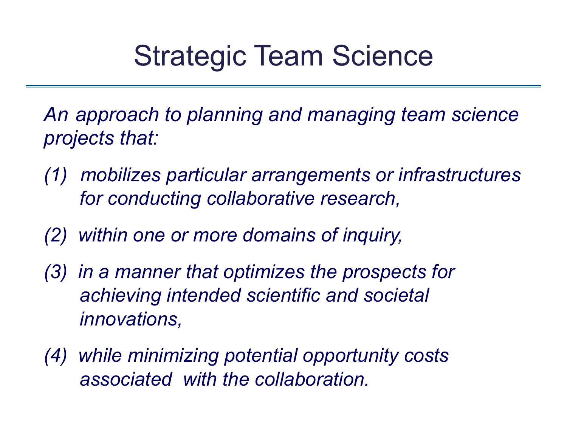# Strategic Team Science

*An approach to planning and managing team science projects that:* 

- *(1) mobilizes particular arrangements or infrastructures for conducting collaborative research,*
- *(2) within one or more domains of inquiry,*
- *(3) in a manner that optimizes the prospects for achieving intended scientific and societal innovations,*
- *(4) while minimizing potential opportunity costs associated with the collaboration.*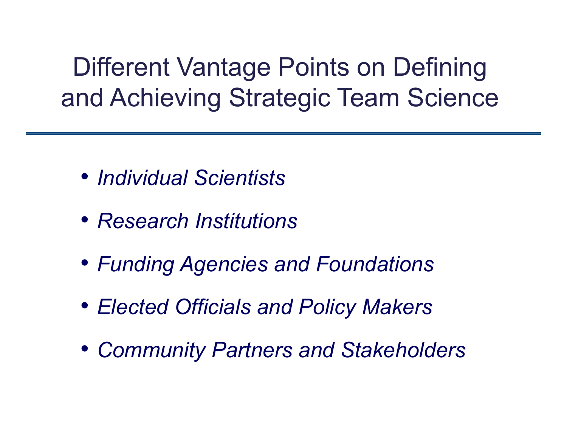Different Vantage Points on Defining and Achieving Strategic Team Science

- *Individual Scientists*
- *Research Institutions*
- *Funding Agencies and Foundations*
- *Elected Officials and Policy Makers*
- *Community Partners and Stakeholders*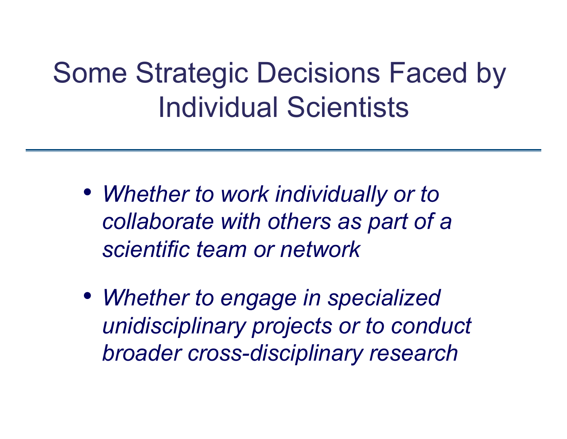# Some Strategic Decisions Faced by Individual Scientists

- *Whether to work individually or to collaborate with others as part of a scientific team or network*
- *Whether to engage in specialized unidisciplinary projects or to conduct broader cross-disciplinary research*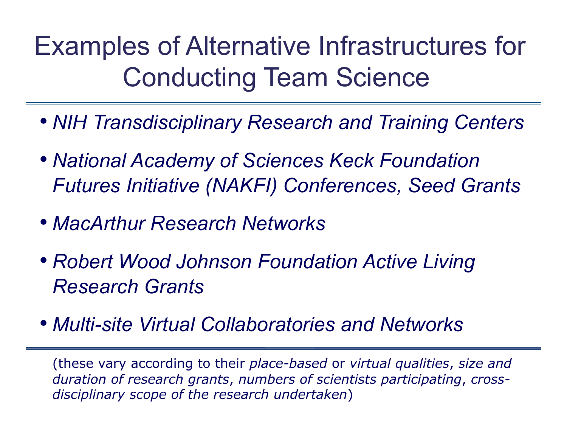Examples of Alternative Infrastructures for Conducting Team Science

- *NIH Transdisciplinary Research and Training Centers*
- *National Academy of Sciences Keck Foundation Futures Initiative (NAKFI) Conferences, Seed Grants*
- *MacArthur Research Networks*
- *Robert Wood Johnson Foundation Active Living Research Grants*
- *Multi-site Virtual Collaboratories and Networks*

(these vary according to their *place-based* or *virtual qualities*, *size and duration of research grants*, *numbers of scientists participating*, *crossdisciplinary scope of the research undertaken*)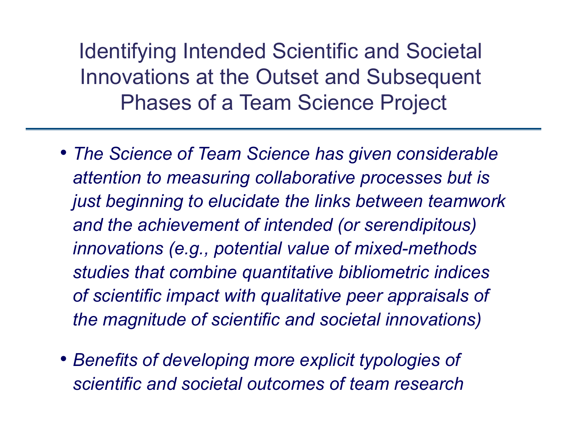Identifying Intended Scientific and Societal Innovations at the Outset and Subsequent Phases of a Team Science Project

- *The Science of Team Science has given considerable attention to measuring collaborative processes but is just beginning to elucidate the links between teamwork and the achievement of intended (or serendipitous) innovations (e.g., potential value of mixed-methods studies that combine quantitative bibliometric indices of scientific impact with qualitative peer appraisals of the magnitude of scientific and societal innovations)*
- *Benefits of developing more explicit typologies of scientific and societal outcomes of team research*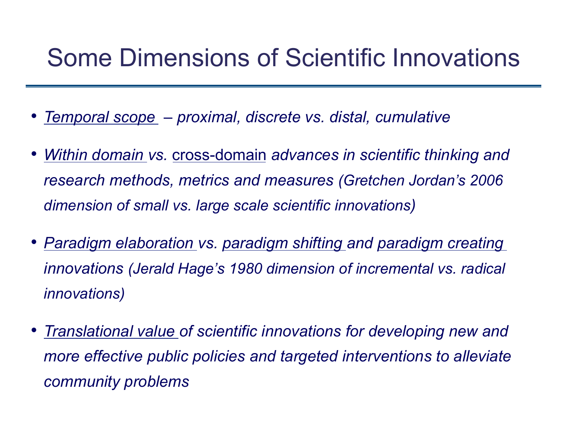## Some Dimensions of Scientific Innovations

- *Temporal scope proximal, discrete vs. distal, cumulative*
- *Within domain vs.* cross-domain *advances in scientific thinking and research methods, metrics and measures (Gretchen Jordan's 2006 dimension of small vs. large scale scientific innovations)*
- *Paradigm elaboration vs. paradigm shifting and paradigm creating innovations (Jerald Hage's 1980 dimension of incremental vs. radical innovations)*
- *Translational value of scientific innovations for developing new and more effective public policies and targeted interventions to alleviate community problems*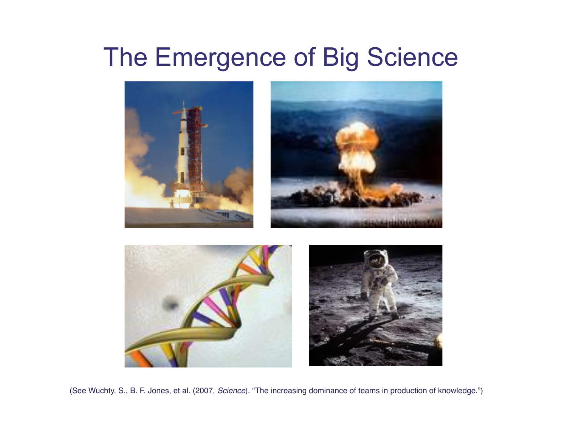## The Emergence of Big Science



(See Wuchty, S., B. F. Jones, et al. (2007, *Science*). "The increasing dominance of teams in production of knowledge.")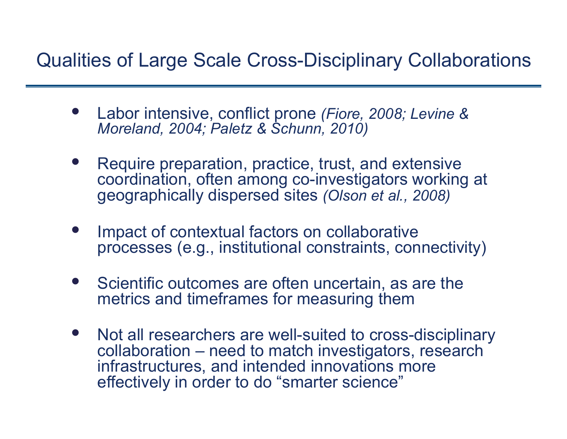### Qualities of Large Scale Cross-Disciplinary Collaborations

- Labor intensive, conflict prone *(Fiore, 2008; Levine & Moreland, 2004; Paletz & Schunn, 2010)*
- Require preparation, practice, trust, and extensive coordination, often among co-investigators working at geographically dispersed sites *(Olson et al., 2008)*
- Impact of contextual factors on collaborative processes (e.g., institutional constraints, connectivity)
- Scientific outcomes are often uncertain, as are the metrics and timeframes for measuring them
- Not all researchers are well-suited to cross-disciplinary collaboration – need to match investigators, research infrastructures, and intended innovations more effectively in order to do "smarter science"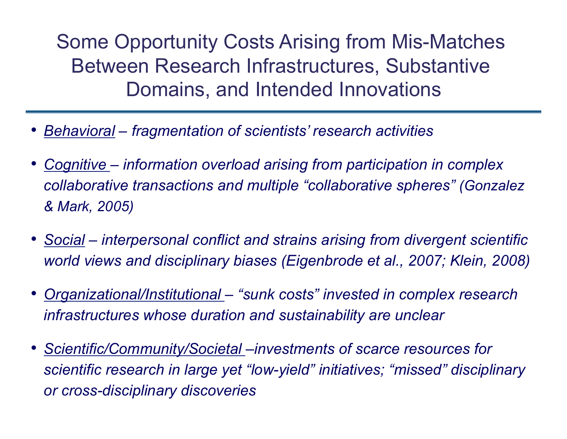Some Opportunity Costs Arising from Mis-Matches Between Research Infrastructures, Substantive Domains, and Intended Innovations

- *Behavioral fragmentation of scientists' research activities*
- *Cognitive information overload arising from participation in complex collaborative transactions and multiple "collaborative spheres" (Gonzalez & Mark, 2005)*
- *Social interpersonal conflict and strains arising from divergent scientific world views and disciplinary biases (Eigenbrode et al., 2007; Klein, 2008)*
- *Organizational/Institutional "sunk costs" invested in complex research infrastructures whose duration and sustainability are unclear*
- *Scientific/Community/Societal –investments of scarce resources for scientific research in large yet "low-yield" initiatives; "missed" disciplinary or cross-disciplinary discoveries*